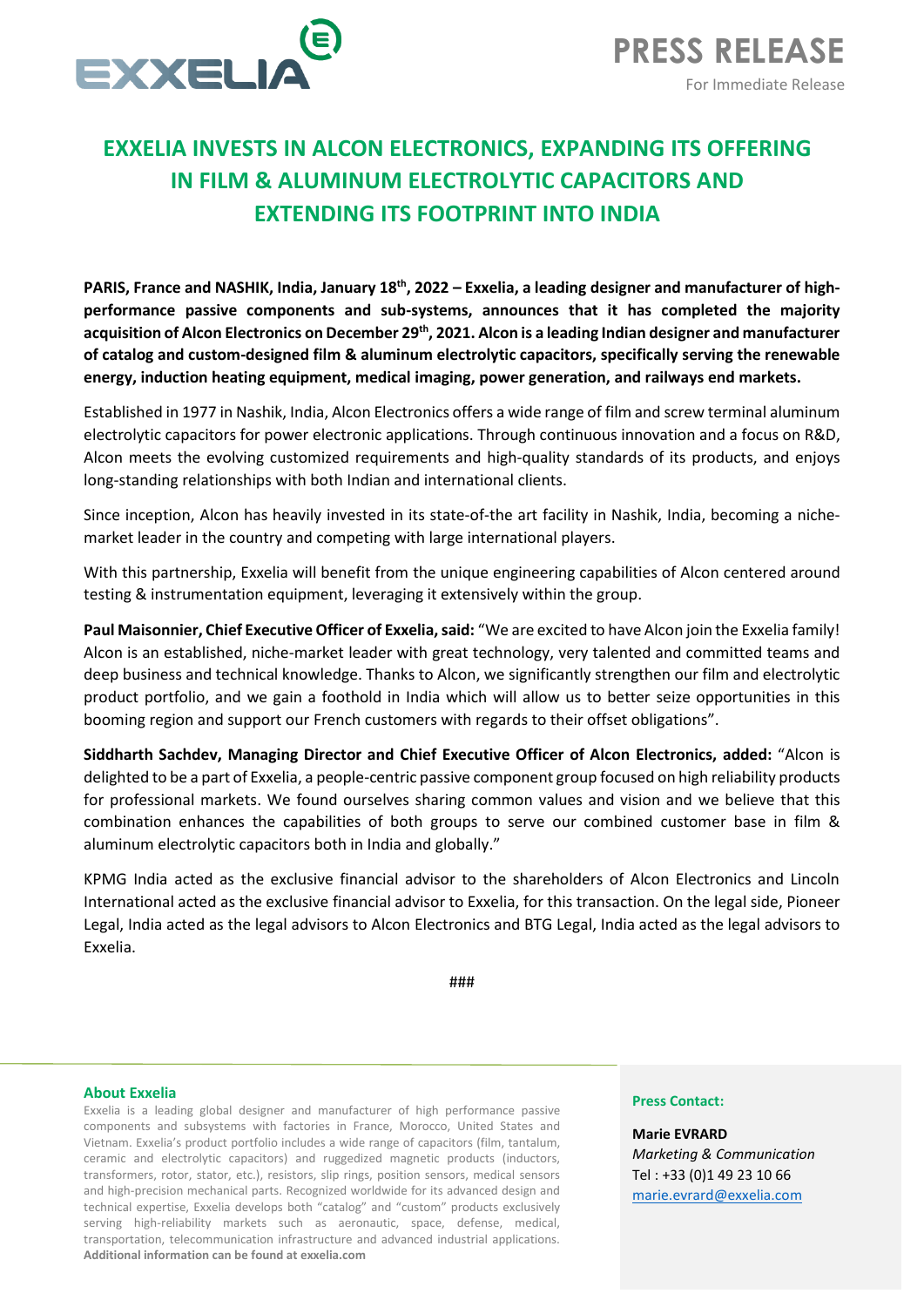

# **EXXELIA INVESTS IN ALCON ELECTRONICS, EXPANDING ITS OFFERING IN FILM & ALUMINUM ELECTROLYTIC CAPACITORS AND EXTENDING ITS FOOTPRINT INTO INDIA**

PARIS, France and NASHIK, India, January 18<sup>th</sup>, 2022 – Exxelia, a leading designer and manufacturer of high**performance passive components and sub-systems, announces that it has completed the majority**  acquisition of Alcon Electronics on December 29<sup>th</sup>, 2021. Alcon is a leading Indian designer and manufacturer **of catalog and custom-designed film & aluminum electrolytic capacitors, specifically serving the renewable energy, induction heating equipment, medical imaging, power generation, and railways end markets.**

Established in 1977 in Nashik, India, Alcon Electronics offers a wide range of film and screw terminal aluminum electrolytic capacitors for power electronic applications. Through continuous innovation and a focus on R&D, Alcon meets the evolving customized requirements and high-quality standards of its products, and enjoys long-standing relationships with both Indian and international clients.

Since inception, Alcon has heavily invested in its state-of-the art facility in Nashik, India, becoming a nichemarket leader in the country and competing with large international players.

With this partnership, Exxelia will benefit from the unique engineering capabilities of Alcon centered around testing & instrumentation equipment, leveraging it extensively within the group.

**Paul Maisonnier, Chief Executive Officer of Exxelia, said:** "We are excited to have Alcon join the Exxelia family! Alcon is an established, niche-market leader with great technology, very talented and committed teams and deep business and technical knowledge. Thanks to Alcon, we significantly strengthen our film and electrolytic product portfolio, and we gain a foothold in India which will allow us to better seize opportunities in this booming region and support our French customers with regards to their offset obligations".

**Siddharth Sachdev, Managing Director and Chief Executive Officer of Alcon Electronics, added:** "Alcon is delighted to be a part of Exxelia, a people-centric passive component group focused on high reliability products for professional markets. We found ourselves sharing common values and vision and we believe that this combination enhances the capabilities of both groups to serve our combined customer base in film & aluminum electrolytic capacitors both in India and globally."

KPMG India acted as the exclusive financial advisor to the shareholders of Alcon Electronics and Lincoln International acted as the exclusive financial advisor to Exxelia, for this transaction. On the legal side, Pioneer Legal, India acted as the legal advisors to Alcon Electronics and BTG Legal, India acted as the legal advisors to Exxelia.

###

## **About Exxelia**

Exxelia is a leading global designer and manufacturer of high performance passive components and subsystems with factories in France, Morocco, United States and Vietnam. Exxelia's product portfolio includes a wide range of capacitors (film, tantalum, ceramic and electrolytic capacitors) and ruggedized magnetic products (inductors, transformers, rotor, stator, etc.), resistors, slip rings, position sensors, medical sensors and high-precision mechanical parts. Recognized worldwide for its advanced design and technical expertise, Exxelia develops both "catalog" and "custom" products exclusively serving high-reliability markets such as aeronautic, space, defense, medical, transportation, telecommunication infrastructure and advanced industrial applications. **Additional information can be found at exxelia.com**

## **Press Contact:**

**Marie EVRARD** *Marketing & Communication*  Tel : +33 (0)1 49 23 10 66 marie.evrard@exxelia.com